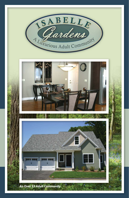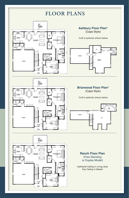# **FLOOR PLANS**





*\*Loft is optional; shown below*







**Ranch Floor Plan** (Free Standing or Duplex Model)

*Cathedral Ceiling in Living Area Tray Ceiling in Master*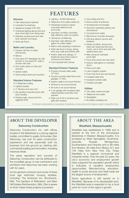### **Kitchens**

- Oak raised panel cabinets
- Laminate Countertops
- Appliance budget of \$1,000
- Overhead lighting above sink and drop down light over dining area
- Stainless double-bowl sink with lever operator and spray
- Solid oak floors

### **Baths and Laundry**

- Ceramic tile floor in baths and laundry
- Mirrors
- One piece 50" fiberglass tub with shower or one piece 50" walk-in shower with seat
- Anti-scald valves on tubs and showers
- Gerber toilets
- Solid surface sinks and counters

### **Standard Interior Features**

- 8' Basement ceiling
- Lighted closets
- 4" Window and door trim
- Six paneled masonite doors with lever handles
- Painted walls, doors and trim, eggshell white

# **FEATURES**

- Lighting \$1000 Allowance
- Telephone (4) & cable outlets (4)
- Hardwired smoke & carbon monoxide detectors per local code
- Gas-fired, humidity controlled, high efficiency warm air system
- Central air-conditioning
- Gas-fired, high efficiency 50 gallon hot water heater
- Wall to wall carpeting in bedroom
- Solid oak floors in living, dining, entry way, halls and kitchen with
- Interior walls and ceilings, 1/2" sheetrock have three coats of compound and taped.
- Front doorbell with chimes

### **Standard Exterior Features**

- Poured concrete cellar walls, 10" thick
- Poured concrete cellar floors and garages, 4" thick
- Exterior walls to be wood-framed
- All floors to be wood-framed
- All roofs to be wood-framed
- 2 car garage with insulated steel, raised paneled automatic door openers
- Pella Low E tilt-in windows and grills with screens
- Vinyl siding and trim
- Stone veneer at entrance
- Architectural roof shingles
- Aluminum seamless gutters and downspouts
- Concrete front walks
- Bituminous concrete driveways
- 200 amp electric service with breakers
- Variety of plants, shrubs and trees with weed bed liner and mulch, sod in front and side with seeded back yard
- Main entrance overhead porch light
- Front entry porch and rear deck
- Exterior side lights on overhead doors
- Rear porch light
- Lawn irrigation system
- Frost Free front and rear faucets
- Insulated steel door
- Insulated outside walls
- Outside post light

#### **Utilities**

- City water, sewer and gas
- Telephone and cable
- Streetlights
- All utilities underground

This information is deemed reliable but not guaranteed. All specifications, unit sizes, pricing and floor designs are subject to change wiithout notice.

## **ABOUT THE DEVELOPER**

### **Saloomey Construction**

Saloomey Construction, Inc. with offices located in the Berkshires is a strong regional builder, committed to quality. Its founder, Ziter Saloomey, has over 42 years construction experience and has personally built his business from the ground up, starting with commercial building and renovation, including historical rehab.

The great reputation and success of Saloomey Construction can be attributed to the incredible group of sub-contractors and architects that Saloomey has been working with for years.

As the general contractor and owner of three local age restricted housing facilities, including: The American Inn, (Southwick, MA), The Gardens of Wilbraham, and Bear Hill Estates (Northampton, MA), Ziter is aware of what makes these projects successful.

## **ABOUT THE AREA**

### **Westfield, Massachusetts**

Westfield was established in 1669 and is nestled at the foot of the picturesque Berkshires in Western Massachusetts. It is bordered by West Springfield, Southwick, Granville, Russell, Montgomery, Southampton and Holyoke and is 99 miles from Boston, 85 miles from Albany, N.Y. and 134 miles from New York City. Today Westfield is a regional commercial and industrial center. Over the past 25 years, the city's economic and employment growth have outpaced the population growth which is indicative of excellent employment opportunities. Manufacturing, education, health & social services and retail trade are the largest source of employment.

Some agriculture is still carried on in Westfield. Because of its developable land, the Westfield area is expected to be a focal point for much of the region's growth.